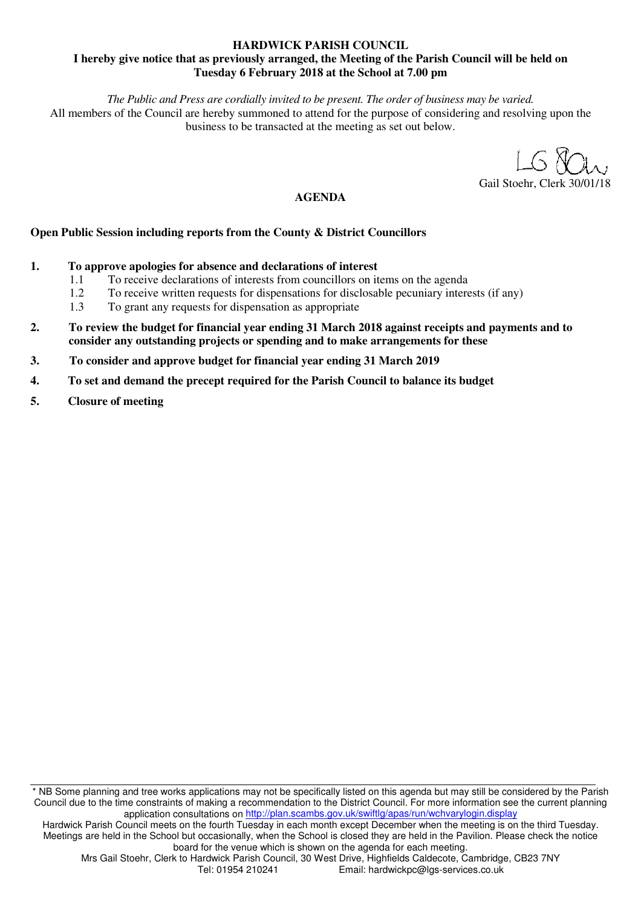## **HARDWICK PARISH COUNCIL I hereby give notice that as previously arranged, the Meeting of the Parish Council will be held on Tuesday 6 February 2018 at the School at 7.00 pm**

*The Public and Press are cordially invited to be present. The order of business may be varied.* 

All members of the Council are hereby summoned to attend for the purpose of considering and resolving upon the business to be transacted at the meeting as set out below.

 $S$   $N$ 

Gail Stoehr, Clerk 30

# **AGENDA**

# **Open Public Session including reports from the County & District Councillors**

- **1. To approve apologies for absence and declarations of interest** 
	- 1.1 To receive declarations of interests from councillors on items on the agenda<br>1.2 To receive written requests for dispensations for disclosable pecuniary intere
	- 1.2 To receive written requests for dispensations for disclosable pecuniary interests (if any)<br>1.3 To grant any requests for dispensation as appropriate
	- 1.3 To grant any requests for dispensation as appropriate
- **2. To review the budget for financial year ending 31 March 2018 against receipts and payments and to consider any outstanding projects or spending and to make arrangements for these**
- **3. To consider and approve budget for financial year ending 31 March 2019**
- **4. To set and demand the precept required for the Parish Council to balance its budget**
- **5. Closure of meeting**

\* NB Some planning and tree works applications may not be specifically listed on this agenda but may still be considered by the Parish Council due to the time constraints of making a recommendation to the District Council. For more information see the current planning application consultations on http://plan.scambs.gov.uk/swiftlg/apas/run/wchvarylogin.display

Hardwick Parish Council meets on the fourth Tuesday in each month except December when the meeting is on the third Tuesday. Meetings are held in the School but occasionally, when the School is closed they are held in the Pavilion. Please check the notice board for the venue which is shown on the agenda for each meeting.